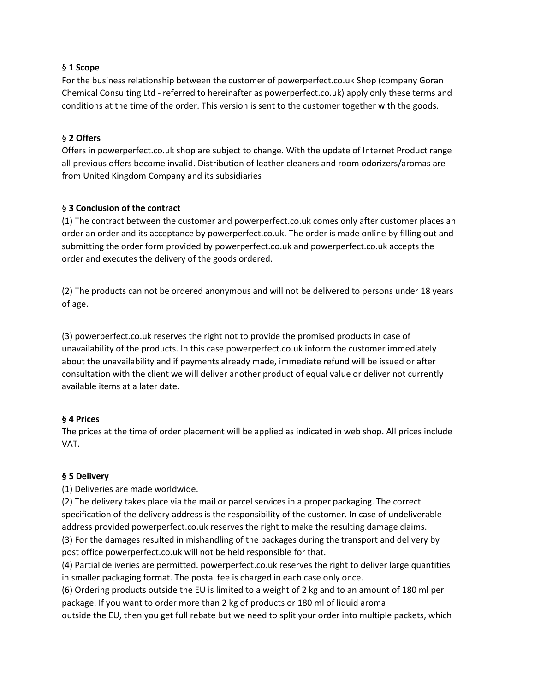#### § **1 Scope**

For the business relationship between the customer of powerperfect.co.uk Shop (company Goran Chemical Consulting Ltd - referred to hereinafter as powerperfect.co.uk) apply only these terms and conditions at the time of the order. This version is sent to the customer together with the goods.

#### § **2 Offers**

Offers in powerperfect.co.uk shop are subject to change. With the update of Internet Product range all previous offers become invalid. Distribution of leather cleaners and room odorizers/aromas are from United Kingdom Company and its subsidiaries

#### § **3 Conclusion of the contract**

(1) The contract between the customer and powerperfect.co.uk comes only after customer places an order an order and its acceptance by powerperfect.co.uk. The order is made online by filling out and submitting the order form provided by powerperfect.co.uk and powerperfect.co.uk accepts the order and executes the delivery of the goods ordered.

(2) The products can not be ordered anonymous and will not be delivered to persons under 18 years of age.

(3) powerperfect.co.uk reserves the right not to provide the promised products in case of unavailability of the products. In this case powerperfect.co.uk inform the customer immediately about the unavailability and if payments already made, immediate refund will be issued or after consultation with the client we will deliver another product of equal value or deliver not currently available items at a later date.

#### **§ 4 Prices**

The prices at the time of order placement will be applied as indicated in web shop. All prices include VAT.

# **§ 5 Delivery**

(1) Deliveries are made worldwide.

(2) The delivery takes place via the mail or parcel services in a proper packaging. The correct specification of the delivery address is the responsibility of the customer. In case of undeliverable address provided powerperfect.co.uk reserves the right to make the resulting damage claims. (3) For the damages resulted in mishandling of the packages during the transport and delivery by post office powerperfect.co.uk will not be held responsible for that.

(4) Partial deliveries are permitted. powerperfect.co.uk reserves the right to deliver large quantities in smaller packaging format. The postal fee is charged in each case only once.

(6) Ordering products outside the EU is limited to a weight of 2 kg and to an amount of 180 ml per package. If you want to order more than 2 kg of products or 180 ml of liquid aroma

outside the EU, then you get full rebate but we need to split your order into multiple packets, which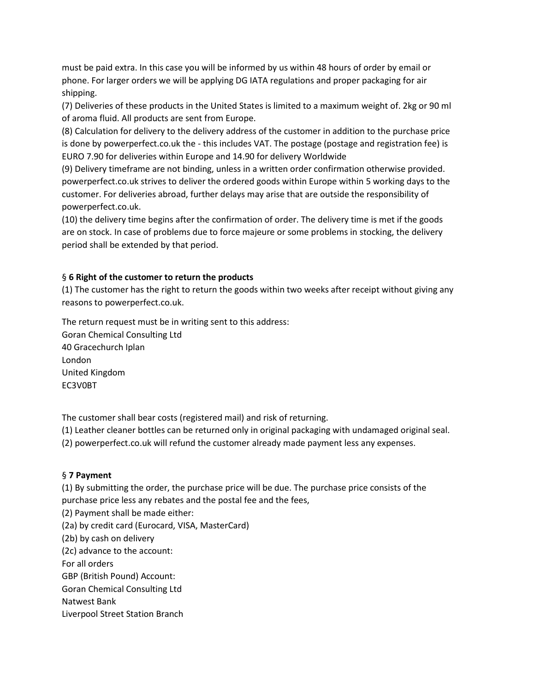must be paid extra. In this case you will be informed by us within 48 hours of order by email or phone. For larger orders we will be applying DG IATA regulations and proper packaging for air shipping.

(7) Deliveries of these products in the United States is limited to a maximum weight of. 2kg or 90 ml of aroma fluid. All products are sent from Europe.

(8) Calculation for delivery to the delivery address of the customer in addition to the purchase price is done by powerperfect.co.uk the - this includes VAT. The postage (postage and registration fee) is EURO 7.90 for deliveries within Europe and 14.90 for delivery Worldwide

(9) Delivery timeframe are not binding, unless in a written order confirmation otherwise provided. powerperfect.co.uk strives to deliver the ordered goods within Europe within 5 working days to the customer. For deliveries abroad, further delays may arise that are outside the responsibility of powerperfect.co.uk.

(10) the delivery time begins after the confirmation of order. The delivery time is met if the goods are on stock. In case of problems due to force majeure or some problems in stocking, the delivery period shall be extended by that period.

# § **6 Right of the customer to return the products**

(1) The customer has the right to return the goods within two weeks after receipt without giving any reasons to powerperfect.co.uk.

The return request must be in writing sent to this address: Goran Chemical Consulting Ltd 40 Gracechurch Iplan London United Kingdom

EC3V0BT

The customer shall bear costs (registered mail) and risk of returning.

(1) Leather cleaner bottles can be returned only in original packaging with undamaged original seal.

(2) powerperfect.co.uk will refund the customer already made payment less any expenses.

# § **7 Payment**

(1) By submitting the order, the purchase price will be due. The purchase price consists of the purchase price less any rebates and the postal fee and the fees,

(2) Payment shall be made either:

(2a) by credit card (Eurocard, VISA, MasterCard)

(2b) by cash on delivery

(2c) advance to the account:

For all orders

GBP (British Pound) Account:

Goran Chemical Consulting Ltd

Natwest Bank

Liverpool Street Station Branch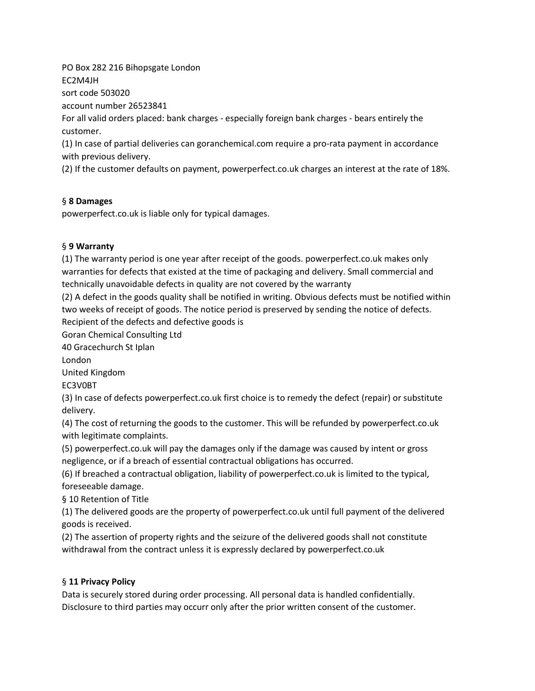PO Box 282 216 Bihopsgate London EC2M4JH

sort code 503020

account number 26523841

For all valid orders placed: bank charges - especially foreign bank charges - bears entirely the customer.

(1) In case of partial deliveries can goranchemical.com require a pro-rata payment in accordance with previous delivery.

(2) If the customer defaults on payment, powerperfect.co.uk charges an interest at the rate of 18%.

# § **8 Damages**

powerperfect.co.uk is liable only for typical damages.

# § **9 Warranty**

(1) The warranty period is one year after receipt of the goods. powerperfect.co.uk makes only warranties for defects that existed at the time of packaging and delivery. Small commercial and technically unavoidable defects in quality are not covered by the warranty

(2) A defect in the goods quality shall be notified in writing. Obvious defects must be notified within two weeks of receipt of goods. The notice period is preserved by sending the notice of defects. Recipient of the defects and defective goods is

Goran Chemical Consulting Ltd

40 Gracechurch St Iplan

London

United Kingdom

EC3V0BT

(3) In case of defects powerperfect.co.uk first choice is to remedy the defect (repair) or substitute delivery.

(4) The cost of returning the goods to the customer. This will be refunded by powerperfect.co.uk with legitimate complaints.

(5) powerperfect.co.uk will pay the damages only if the damage was caused by intent or gross negligence, or if a breach of essential contractual obligations has occurred.

(6) If breached a contractual obligation, liability of powerperfect.co.uk is limited to the typical, foreseeable damage.

§ 10 Retention of Title

(1) The delivered goods are the property of powerperfect.co.uk until full payment of the delivered goods is received.

(2) The assertion of property rights and the seizure of the delivered goods shall not constitute withdrawal from the contract unless it is expressly declared by powerperfect.co.uk

# § **11 Privacy Policy**

Data is securely stored during order processing. All personal data is handled confidentially. Disclosure to third parties may occurr only after the prior written consent of the customer.